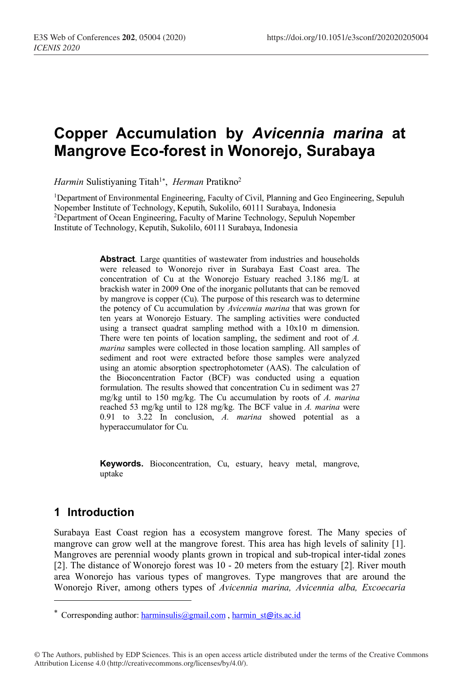# **Copper Accumulation by** *Avicennia marina* **at Mangrove Eco-forest in Wonorejo, Surabaya**

*Harmin* Sulistiyaning Titah<sup>1\*</sup>, *Herman* Pratikno<sup>2</sup>

1Department of Environmental Engineering, Faculty of Civil, Planning and Geo Engineering, Sepuluh Nopember Institute of Technology, Keputih, Sukolilo, 60111 Surabaya, Indonesia 2 Department of Ocean Engineering, Faculty of Marine Technology, Sepuluh Nopember Institute of Technology, Keputih, Sukolilo, 60111 Surabaya, Indonesia

> Abstract. Large quantities of wastewater from industries and households were released to Wonorejo river in Surabaya East Coast area. The concentration of Cu at the Wonorejo Estuary reached 3.186 mg/L at brackish water in 2009 One of the inorganic pollutants that can be removed by mangrove is copper (Cu). The purpose of this research was to determine the potency of Cu accumulation by *Avicennia marina* that was grown for ten years at Wonorejo Estuary. The sampling activities were conducted using a transect quadrat sampling method with a 10x10 m dimension. There were ten points of location sampling, the sediment and root of *A. marina* samples were collected in those location sampling. All samples of sediment and root were extracted before those samples were analyzed using an atomic absorption spectrophotometer (AAS). The calculation of the Bioconcentration Factor (BCF) was conducted using a equation formulation. The results showed that concentration Cu in sediment was 27 mg/kg until to 150 mg/kg. The Cu accumulation by roots of *A. marina* reached 53 mg/kg until to 128 mg/kg. The BCF value in *A. marina* were 0.91 to 3.22 In conclusion, *A. marina* showed potential as a hyperaccumulator for Cu.

**Keywords.** Bioconcentration, Cu, estuary, heavy metal, mangrove, uptake

## **1 Introduction**

I

Surabaya East Coast region has a ecosystem mangrove forest. The Many species of mangrove can grow well at the mangrove forest. This area has high levels of salinity [1]. Mangroves are perennial woody plants grown in tropical and sub-tropical inter-tidal zones [2]. The distance of Wonorejo forest was 10 - 20 meters from the estuary [2]. River mouth area Wonorejo has various types of mangroves. Type mangroves that are around the Wonorejo River, among others types of *Avicennia marina, Avicennia alba, Excoecaria* 

<sup>\*</sup> Corresponding author: harminsulis@gmail.com, harmin st@its.ac.id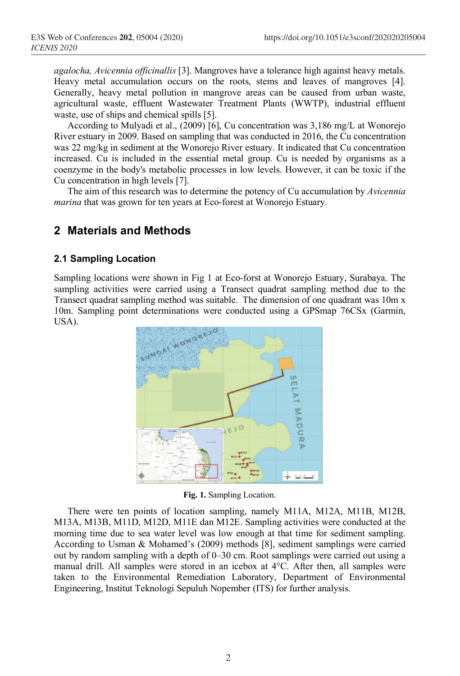*agalocha, Avicennia officinallis* [3]. Mangroves have a tolerance high against heavy metals. Heavy metal accumulation occurs on the roots, stems and leaves of mangroves [4]. Generally, heavy metal pollution in mangrove areas can be caused from urban waste, agricultural waste, effluent Wastewater Treatment Plants (WWTP), industrial effluent waste, use of ships and chemical spills [5].

According to Mulyadi et al., (2009) [6], Cu concentration was 3,186 mg/L at Wonorejo River estuary in 2009. Based on sampling that was conducted in 2016, the Cu concentration was 22 mg/kg in sediment at the Wonorejo River estuary. It indicated that Cu concentration increased. Cu is included in the essential metal group. Cu is needed by organisms as a coenzyme in the body's metabolic processes in low levels. However, it can be toxic if the Cu concentration in high levels [7].

The aim of this research was to determine the potency of Cu accumulation by *Avicennia marina* that was grown for ten years at Eco-forest at Wonorejo Estuary.

### **2 Materials and Methods**

#### **2.1 Sampling Location**

Sampling locations were shown in Fig 1 at Eco-forst at Wonorejo Estuary, Surabaya. The sampling activities were carried using a Transect quadrat sampling method due to the Transect quadrat sampling method was suitable. The dimension of one quadrant was 10m x 10m. Sampling point determinations were conducted using a GPSmap 76CSx (Garmin, USA).



**Fig. 1.** Sampling Location.

There were ten points of location sampling, namely M11A, M12A, M11B, M12B, M13A, M13B, M11D, M12D, M11E dan M12E. Sampling activities were conducted at the morning time due to sea water level was low enough at that time for sediment sampling. According to Usman & Mohamed's (2009) methods [8], sediment samplings were carried out by random sampling with a depth of 0–30 cm. Root samplings were carried out using a manual drill. All samples were stored in an icebox at 4°C. After then, all samples were taken to the Environmental Remediation Laboratory, Department of Environmental Engineering, Institut Teknologi Sepuluh Nopember (ITS) for further analysis.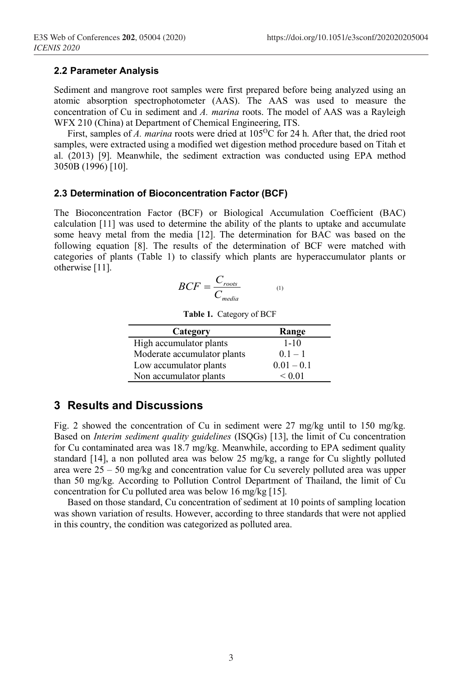#### **2.2 Parameter Analysis**

Sediment and mangrove root samples were first prepared before being analyzed using an atomic absorption spectrophotometer (AAS). The AAS was used to measure the concentration of Cu in sediment and *A. marina* roots. The model of AAS was a Rayleigh WFX 210 (China) at Department of Chemical Engineering, ITS.

First, samples of *A. marina* roots were dried at 105<sup>o</sup>C for 24 h. After that, the dried root samples, were extracted using a modified wet digestion method procedure based on Titah et al. (2013) [9]. Meanwhile, the sediment extraction was conducted using EPA method 3050B (1996) [10].

#### **2.3 Determination of Bioconcentration Factor (BCF)**

The Bioconcentration Factor (BCF) or Biological Accumulation Coefficient (BAC) calculation [11] was used to determine the ability of the plants to uptake and accumulate some heavy metal from the media [12]. The determination for BAC was based on the following equation [8]. The results of the determination of BCF were matched with categories of plants (Table 1) to classify which plants are hyperaccumulator plants or otherwise [11].

$$
BCF = \frac{C_{roots}}{C_{median}} \tag{1}
$$

| Category                    | Range        |
|-----------------------------|--------------|
| High accumulator plants     | $1 - 10$     |
| Moderate accumulator plants | $0.1 - 1$    |
| Low accumulator plants      | $0.01 - 0.1$ |
| Non accumulator plants      | < 0.01       |

**Table 1.** Category of BCF

### **3 Results and Discussions**

Fig. 2 showed the concentration of Cu in sediment were 27 mg/kg until to 150 mg/kg. Based on *Interim sediment quality guidelines* (ISQGs) [13], the limit of Cu concentration for Cu contaminated area was 18.7 mg/kg. Meanwhile, according to EPA sediment quality standard [14], a non polluted area was below 25 mg/kg, a range for Cu slightly polluted area were 25 – 50 mg/kg and concentration value for Cu severely polluted area was upper than 50 mg/kg. According to Pollution Control Department of Thailand, the limit of Cu concentration for Cu polluted area was below 16 mg/kg [15].

Based on those standard, Cu concentration of sediment at 10 points of sampling location was shown variation of results. However, according to three standards that were not applied in this country, the condition was categorized as polluted area.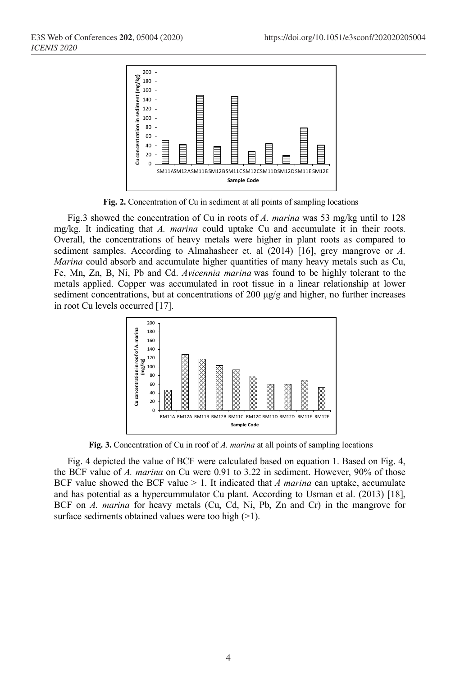

**Fig. 2.** Concentration of Cu in sediment at all points of sampling locations

Fig.3 showed the concentration of Cu in roots of *A. marina* was 53 mg/kg until to 128 mg/kg. It indicating that *A. marina* could uptake Cu and accumulate it in their roots. Overall, the concentrations of heavy metals were higher in plant roots as compared to sediment samples. According to Almahasheer et. al (2014) [16], grey mangrove or *A. Marina* could absorb and accumulate higher quantities of many heavy metals such as Cu, Fe, Mn, Zn, B, Ni, Pb and Cd. *Avicennia marina* was found to be highly tolerant to the metals applied. Copper was accumulated in root tissue in a linear relationship at lower sediment concentrations, but at concentrations of 200  $\mu$ g/g and higher, no further increases in root Cu levels occurred [17].



**Fig. 3.** Concentration of Cu in roof of *A. marina* at all points of sampling locations

Fig. 4 depicted the value of BCF were calculated based on equation 1. Based on Fig. 4, the BCF value of *A. marina* on Cu were 0.91 to 3.22 in sediment. However, 90% of those BCF value showed the BCF value > 1. It indicated that *A marina* can uptake, accumulate and has potential as a hypercummulator Cu plant. According to Usman et al. (2013) [18], BCF on *A. marina* for heavy metals (Cu, Cd, Ni, Pb, Zn and Cr) in the mangrove for surface sediments obtained values were too high  $(>1)$ .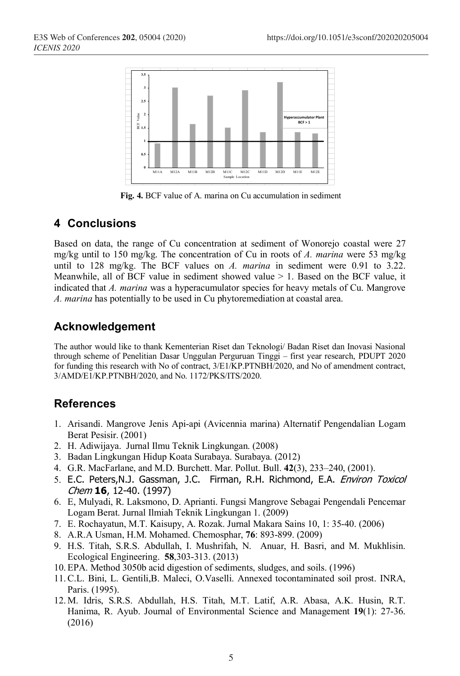

**Fig. 4.** BCF value of A. marina on Cu accumulation in sediment

## **4 Conclusions**

Based on data, the range of Cu concentration at sediment of Wonorejo coastal were 27 mg/kg until to 150 mg/kg. The concentration of Cu in roots of *A. marina* were 53 mg/kg until to 128 mg/kg. The BCF values on *A. marina* in sediment were 0.91 to 3.22. Meanwhile, all of BCF value in sediment showed value  $> 1$ . Based on the BCF value, it indicated that *A. marina* was a hyperacumulator species for heavy metals of Cu. Mangrove *A. marina* has potentially to be used in Cu phytoremediation at coastal area.

# **Acknowledgement**

The author would like to thank Kementerian Riset dan Teknologi/ Badan Riset dan Inovasi Nasional through scheme of Penelitian Dasar Unggulan Perguruan Tinggi – first year research, PDUPT 2020 for funding this research with No of contract, 3/E1/KP.PTNBH/2020, and No of amendment contract, 3/AMD/E1/KP.PTNBH/2020, and No. 1172/PKS/ITS/2020.

## **References**

- 1. Arisandi. Mangrove Jenis Api-api (Avicennia marina) Alternatif Pengendalian Logam Berat Pesisir. (2001)
- 2. H. Adiwijaya. Jurnal Ilmu Teknik Lingkungan. (2008)
- 3. Badan Lingkungan Hidup Koata Surabaya. Surabaya. (2012)
- 4. G.R. MacFarlane, and M.D. Burchett. Mar. Pollut. Bull. **42**(3), 233–240, (2001).
- 5. E.C. Peters,N.J. Gassman, J.C. Firman, R.H. Richmond, E.A. Environ Toxicol Chem **16**, 12-40. (1997)
- 6. E, Mulyadi, R. Laksmono, D. Aprianti. Fungsi Mangrove Sebagai Pengendali Pencemar Logam Berat. Jurnal Ilmiah Teknik Lingkungan 1. (2009)
- 7. E. Rochayatun, M.T. Kaisupy, A. Rozak. Jurnal Makara Sains 10, 1: 35-40. (2006)
- 8. A.R.A Usman, H.M. Mohamed. Chemosphar, **76**: 893-899. (2009)
- 9. H.S. Titah, S.R.S. Abdullah, I. Mushrifah, N. Anuar, H. Basri, and M. Mukhlisin. Ecological Engineering. **58**,303-313. (2013)
- 10. EPA. Method 3050b acid digestion of sediments, sludges, and soils. (1996)
- 11.C.L. Bini, L. Gentili,B. Maleci, O.Vaselli. Annexed tocontaminated soil prost. INRA, Paris. (1995).
- 12. M. Idris, S.R.S. Abdullah, H.S. Titah, M.T. Latif, A.R. Abasa, A.K. Husin, R.T. Hanima, R. Ayub. Journal of Environmental Science and Management **19**(1): 27-36. (2016)